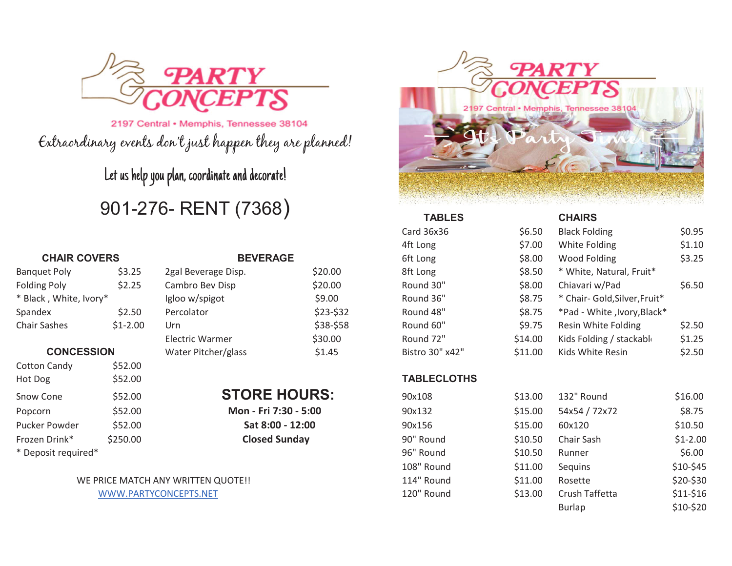

2197 Central • Memphis, Tennessee 38104 Extraordinary events don't just happen they are planned!

Let us help you plan, coordinate and decorate!

# 901-276- RENT (7368)

#### **CHAIR COVERS**

| \$3.25    |
|-----------|
| \$2.25    |
|           |
| \$2.50    |
| $$1-2.00$ |
|           |

#### **CONCESSION**

| <b>Cotton Candy</b> | \$52.00  |
|---------------------|----------|
| Hot Dog             | \$52.00  |
| Snow Cone           | \$52.00  |
| Popcorn             | \$52.00  |
| Pucker Powder       | \$52.00  |
| Frozen Drink*       | \$250.00 |
| * Deposit required* |          |

### **BEVERAGE**

| 2gal Beverage Disp.    | \$20.00   | 8ft Lor       |
|------------------------|-----------|---------------|
| Cambro Bev Disp        | \$20.00   | Round         |
| Igloo w/spigot         | \$9.00    | Round         |
| Percolator             | \$23-\$32 | Round         |
| Urn                    | \$38-\$58 | Round         |
| <b>Electric Warmer</b> | \$30.00   | Round         |
| Water Pitcher/glass    | \$1.45    | <b>Bistro</b> |
|                        |           |               |



|                        |           |                        |           | <b>TABLES</b>   |         | <b>CHAIRS</b>                 |        |
|------------------------|-----------|------------------------|-----------|-----------------|---------|-------------------------------|--------|
|                        |           |                        |           | Card 36x36      | \$6.50  | <b>Black Folding</b>          | \$0.95 |
|                        |           |                        |           | 4ft Long        | \$7.00  | White Folding                 | \$1.10 |
| <b>CHAIR COVERS</b>    |           | <b>BEVERAGE</b>        |           | 6ft Long        | \$8.00  | Wood Folding                  | \$3.25 |
| <b>Banquet Poly</b>    | \$3.25    | 2gal Beverage Disp.    | \$20.00   | 8ft Long        | \$8.50  | * White, Natural, Fruit*      |        |
| Folding Poly           | \$2.25    | Cambro Bev Disp        | \$20.00   | Round 30"       | \$8.00  | Chiavari w/Pad                | \$6.50 |
| * Black, White, Ivory* |           | Igloo w/spigot         | \$9.00    | Round 36"       | \$8.75  | * Chair- Gold, Silver, Fruit* |        |
| Spandex                | \$2.50    | Percolator             | $$23-$32$ | Round 48"       | \$8.75  | *Pad - White , Ivory, Black * |        |
| <b>Chair Sashes</b>    | $$1-2.00$ | Urn                    | \$38-\$58 | Round 60"       | \$9.75  | Resin White Folding           | \$2.50 |
|                        |           | <b>Electric Warmer</b> | \$30.00   | Round 72"       | \$14.00 | Kids Folding / stackable      | \$1.25 |
| <b>CONCESSION</b>      |           | Water Pitcher/glass    | \$1.45    | Bistro 30" x42" | \$11.00 | Kids White Resin              | \$2.50 |
|                        |           |                        |           |                 |         |                               |        |

### **TABLECLOTHS**

| Snow Cone           | \$52.00                            | <b>STORE HOURS:</b>   | 90x108     | \$13.00 | 132" Round     | \$16.00   |
|---------------------|------------------------------------|-----------------------|------------|---------|----------------|-----------|
| Popcorn             | \$52.00                            | Mon - Fri 7:30 - 5:00 | 90x132     | \$15.00 | 54x54 / 72x72  | \$8.75    |
| Pucker Powder       | \$52.00                            | Sat 8:00 - 12:00      | 90x156     | \$15.00 | 60x120         | \$10.50   |
| Frozen Drink*       | \$250.00                           | <b>Closed Sunday</b>  | 90" Round  | \$10.50 | Chair Sash     | $$1-2.00$ |
| * Deposit required* |                                    |                       | 96" Round  | \$10.50 | Runner         | \$6.00    |
|                     |                                    |                       | 108" Round | \$11.00 | Sequins        | \$10-\$45 |
|                     | WE PRICE MATCH ANY WRITTEN QUOTE!! |                       | 114" Round | \$11.00 | Rosette        | \$20-\$30 |
|                     | WWW.PARTYCONCEPTS.NET              |                       | 120" Round | \$13.00 | Crush Taffetta | $$11-$16$ |
|                     |                                    |                       |            |         | <b>Burlap</b>  | $$10-$20$ |